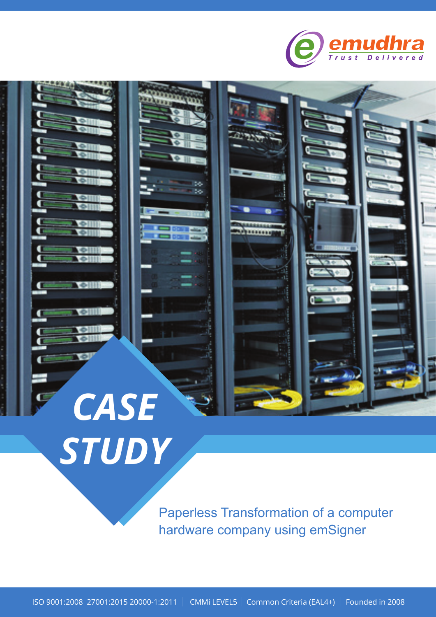



Paperless Transformation of a computer

*STUDY*

hardware company using emSigner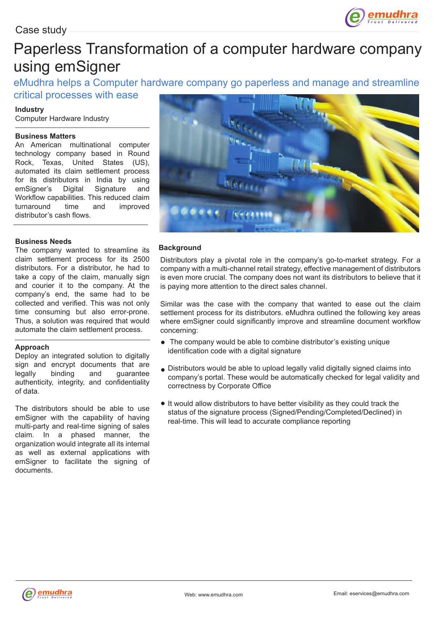

# Paperless Transformation of a computer hardware company using emSigner

eMudhra helps a Computer hardware company go paperless and manage and streamline critical processes with ease

### **Industry**

Computer Hardware Industry

#### **Business Matters**

An American multinational computer technology company based in Round Rock, Texas, United States (US), automated its claim settlement process for its distributors in India by using emSigner's Digital Signature and Workflow capabilities. This reduced claim turnaround time and improved distributor's cash flows.

#### **Business Needs**

The company wanted to streamline its claim settlement process for its 2500 distributors. For a distributor, he had to take a copy of the claim, manually sign and courier it to the company. At the company's end, the same had to be collected and verified. This was not only time consuming but also error-prone. Thus, a solution was required that would automate the claim settlement process.

#### **Approach**

Deploy an integrated solution to digitally sign and encrypt documents that are legally binding and guarantee authenticity, integrity, and confidentiality of data.

The distributors should be able to use emSigner with the capability of having multi-party and real-time signing of sales claim. In a phased manner, the organization would integrate all its internal as well as external applications with emSigner to facilitate the signing of documents.



#### **Background**

Distributors play a pivotal role in the company's go-to-market strategy. For a company with a multi-channel retail strategy, effective management of distributors is even more crucial. The company does not want its distributors to believe that it is paying more attention to the direct sales channel.

Similar was the case with the company that wanted to ease out the claim settlement process for its distributors. eMudhra outlined the following key areas where emSigner could significantly improve and streamline document workflow concerning:

- The company would be able to combine distributor's existing unique identification code with a digital signature
- Distributors would be able to upload legally valid digitally signed claims into company's portal. These would be automatically checked for legal validity and correctness by Corporate Office
- It would allow distributors to have better visibility as they could track the status of the signature process (Signed/Pending/Completed/Declined) in real-time. This will lead to accurate compliance reporting

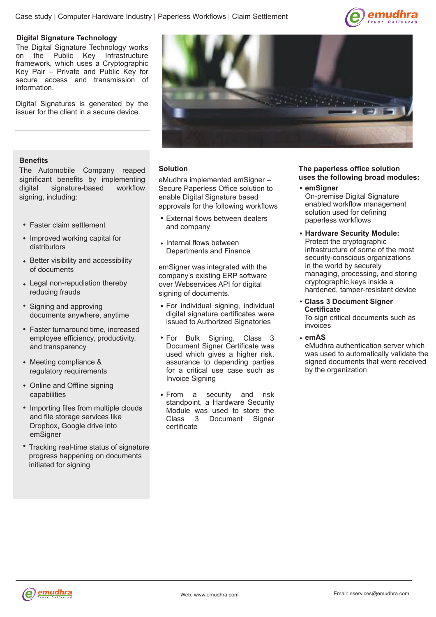

#### **Digital Signature Technology**

The Digital Signature Technology works on the Public Key Infrastructure framework, which uses a Cryptographic Key Pair – Private and Public Key for secure access and transmission of information.

Digital Signatures is generated by the issuer for the client in a secure device.



#### **Benefits**

The Automobile Company reaped significant benefits by implementing digital signature-based workflow signing, including:

- Faster claim settlement
- Improved working capital for distributors
- Better visibility and accessibility of documents
- Legal non-repudiation thereby reducing frauds
- Signing and approving documents anywhere, anytime
- Faster turnaround time, increased employee efficiency, productivity, and transparency
- Meeting compliance & regulatory requirements
- Online and Offline signing capabilities
- Importing files from multiple clouds and file storage services like Dropbox, Google drive into emSigner
- Tracking real-time status of signature progress happening on documents initiated for signing

#### **Solution**

eMudhra implemented emSigner – Secure Paperless Office solution to enable Digital Signature based approvals for the following workflows

- External flows between dealers and company
- Internal flows between Departments and Finance

emSigner was integrated with the company's existing ERP software over Webservices API for digital signing of documents.

- For individual signing, individual digital signature certificates were issued to Authorized Signatories
- For Bulk Signing, Class 3 Document Signer Certificate was used which gives a higher risk, assurance to depending parties for a critical use case such as Invoice Signing
- From a security and risk standpoint, a Hardware Security Module was used to store the Class 3 Document Signer certificate

#### **The paperless office solution uses the following broad modules:**

- **emSigner** On-premise Digital Signature enabled workflow management solution used for defining paperless workflows
- **Hardware Security Module:** Protect the cryptographic infrastructure of some of the most security-conscious organizations in the world by securely managing, processing, and storing cryptographic keys inside a hardened, tamper-resistant device
- **Class 3 Document Signer Certificate**

To sign critical documents such as invoices

**emAS**

eMudhra authentication server which was used to automatically validate the signed documents that were received by the organization